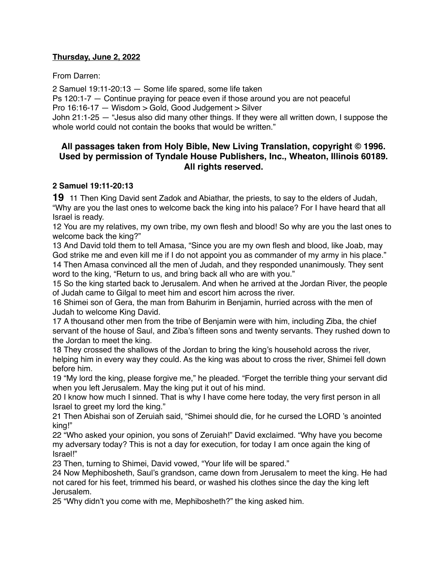## **Thursday, June 2, 2022**

From Darren:

2 Samuel 19:11-20:13 — Some life spared, some life taken

Ps 120:1-7 — Continue praying for peace even if those around you are not peaceful

Pro 16:16-17 — Wisdom > Gold, Good Judgement > Silver

John 21:1-25 — "Jesus also did many other things. If they were all written down, I suppose the whole world could not contain the books that would be written."

# **All passages taken from Holy Bible, [New Living Translation](http://www.newlivingtranslation.com/), copyright © 1996. Used by permission of [Tyndale House Publishers](http://tyndale.com/), Inc., Wheaton, Illinois 60189. All rights reserved.**

### **2 Samuel 19:11-20:13**

**19** 11 Then King David sent Zadok and Abiathar, the priests, to say to the elders of Judah, "Why are you the last ones to welcome back the king into his palace? For I have heard that all Israel is ready.

12 You are my relatives, my own tribe, my own flesh and blood! So why are you the last ones to welcome back the king?"

13 And David told them to tell Amasa, "Since you are my own flesh and blood, like Joab, may God strike me and even kill me if I do not appoint you as commander of my army in his place." 14 Then Amasa convinced all the men of Judah, and they responded unanimously. They sent word to the king, "Return to us, and bring back all who are with you."

15 So the king started back to Jerusalem. And when he arrived at the Jordan River, the people of Judah came to Gilgal to meet him and escort him across the river.

16 Shimei son of Gera, the man from Bahurim in Benjamin, hurried across with the men of Judah to welcome King David.

17 A thousand other men from the tribe of Benjamin were with him, including Ziba, the chief servant of the house of Saul, and Ziba's fifteen sons and twenty servants. They rushed down to the Jordan to meet the king.

18 They crossed the shallows of the Jordan to bring the king's household across the river, helping him in every way they could. As the king was about to cross the river, Shimei fell down before him.

19 "My lord the king, please forgive me," he pleaded. "Forget the terrible thing your servant did when you left Jerusalem. May the king put it out of his mind.

20 I know how much I sinned. That is why I have come here today, the very first person in all Israel to greet my lord the king."

21 Then Abishai son of Zeruiah said, "Shimei should die, for he cursed the LORD 's anointed king!"

22 "Who asked your opinion, you sons of Zeruiah!" David exclaimed. "Why have you become my adversary today? This is not a day for execution, for today I am once again the king of Israel!"

23 Then, turning to Shimei, David vowed, "Your life will be spared."

24 Now Mephibosheth, Saul's grandson, came down from Jerusalem to meet the king. He had not cared for his feet, trimmed his beard, or washed his clothes since the day the king left Jerusalem.

25 "Why didn't you come with me, Mephibosheth?" the king asked him.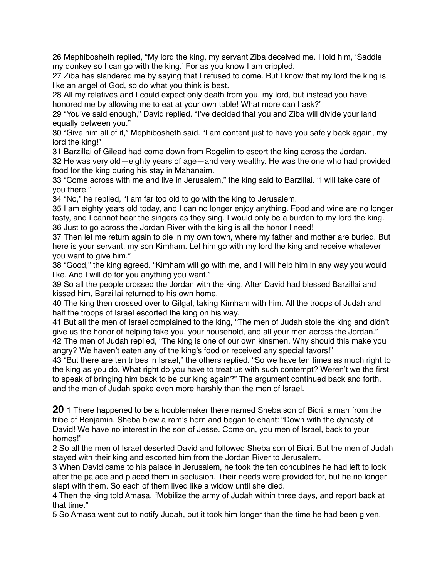26 Mephibosheth replied, "My lord the king, my servant Ziba deceived me. I told him, 'Saddle my donkey so I can go with the king.' For as you know I am crippled.

27 Ziba has slandered me by saying that I refused to come. But I know that my lord the king is like an angel of God, so do what you think is best.

28 All my relatives and I could expect only death from you, my lord, but instead you have honored me by allowing me to eat at your own table! What more can I ask?"

29 "You've said enough," David replied. "I've decided that you and Ziba will divide your land equally between you."

30 "Give him all of it," Mephibosheth said. "I am content just to have you safely back again, my lord the king!"

31 Barzillai of Gilead had come down from Rogelim to escort the king across the Jordan. 32 He was very old—eighty years of age—and very wealthy. He was the one who had provided food for the king during his stay in Mahanaim.

33 "Come across with me and live in Jerusalem," the king said to Barzillai. "I will take care of you there."

34 "No," he replied, "I am far too old to go with the king to Jerusalem.

35 I am eighty years old today, and I can no longer enjoy anything. Food and wine are no longer tasty, and I cannot hear the singers as they sing. I would only be a burden to my lord the king. 36 Just to go across the Jordan River with the king is all the honor I need!

37 Then let me return again to die in my own town, where my father and mother are buried. But here is your servant, my son Kimham. Let him go with my lord the king and receive whatever you want to give him."

38 "Good," the king agreed. "Kimham will go with me, and I will help him in any way you would like. And I will do for you anything you want."

39 So all the people crossed the Jordan with the king. After David had blessed Barzillai and kissed him, Barzillai returned to his own home.

40 The king then crossed over to Gilgal, taking Kimham with him. All the troops of Judah and half the troops of Israel escorted the king on his way.

41 But all the men of Israel complained to the king, "The men of Judah stole the king and didn't give us the honor of helping take you, your household, and all your men across the Jordan." 42 The men of Judah replied, "The king is one of our own kinsmen. Why should this make you angry? We haven't eaten any of the king's food or received any special favors!"

43 "But there are ten tribes in Israel," the others replied. "So we have ten times as much right to the king as you do. What right do you have to treat us with such contempt? Weren't we the first to speak of bringing him back to be our king again?" The argument continued back and forth, and the men of Judah spoke even more harshly than the men of Israel.

**20** 1 There happened to be a troublemaker there named Sheba son of Bicri, a man from the tribe of Benjamin. Sheba blew a ram's horn and began to chant: "Down with the dynasty of David! We have no interest in the son of Jesse. Come on, you men of Israel, back to your homes!"

2 So all the men of Israel deserted David and followed Sheba son of Bicri. But the men of Judah stayed with their king and escorted him from the Jordan River to Jerusalem.

3 When David came to his palace in Jerusalem, he took the ten concubines he had left to look after the palace and placed them in seclusion. Their needs were provided for, but he no longer slept with them. So each of them lived like a widow until she died.

4 Then the king told Amasa, "Mobilize the army of Judah within three days, and report back at that time."

5 So Amasa went out to notify Judah, but it took him longer than the time he had been given.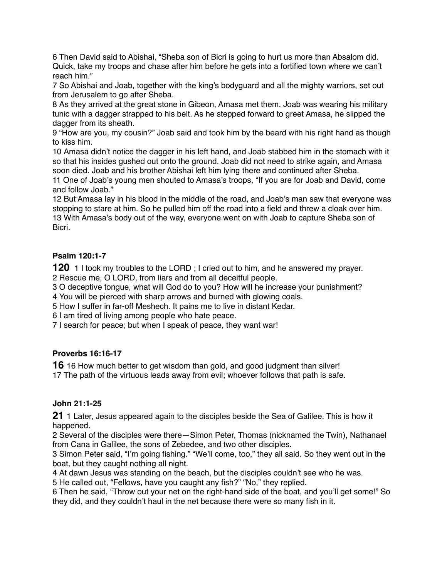6 Then David said to Abishai, "Sheba son of Bicri is going to hurt us more than Absalom did. Quick, take my troops and chase after him before he gets into a fortified town where we can't reach him."

7 So Abishai and Joab, together with the king's bodyguard and all the mighty warriors, set out from Jerusalem to go after Sheba.

8 As they arrived at the great stone in Gibeon, Amasa met them. Joab was wearing his military tunic with a dagger strapped to his belt. As he stepped forward to greet Amasa, he slipped the dagger from its sheath.

9 "How are you, my cousin?" Joab said and took him by the beard with his right hand as though to kiss him.

10 Amasa didn't notice the dagger in his left hand, and Joab stabbed him in the stomach with it so that his insides gushed out onto the ground. Joab did not need to strike again, and Amasa soon died. Joab and his brother Abishai left him lying there and continued after Sheba.

11 One of Joab's young men shouted to Amasa's troops, "If you are for Joab and David, come and follow Joab."

12 But Amasa lay in his blood in the middle of the road, and Joab's man saw that everyone was stopping to stare at him. So he pulled him off the road into a field and threw a cloak over him. 13 With Amasa's body out of the way, everyone went on with Joab to capture Sheba son of **Bicri** 

### **Psalm 120:1-7**

**120** 1 I took my troubles to the LORD ; I cried out to him, and he answered my prayer. 2 Rescue me, O LORD, from liars and from all deceitful people.

3 O deceptive tongue, what will God do to you? How will he increase your punishment?

4 You will be pierced with sharp arrows and burned with glowing coals.

5 How I suffer in far-off Meshech. It pains me to live in distant Kedar.

6 I am tired of living among people who hate peace.

7 I search for peace; but when I speak of peace, they want war!

#### **Proverbs 16:16-17**

**16** 16 How much better to get wisdom than gold, and good judgment than silver!

17 The path of the virtuous leads away from evil; whoever follows that path is safe.

#### **John 21:1-25**

**21** 1 Later, Jesus appeared again to the disciples beside the Sea of Galilee. This is how it happened.

2 Several of the disciples were there—Simon Peter, Thomas (nicknamed the Twin), Nathanael from Cana in Galilee, the sons of Zebedee, and two other disciples.

3 Simon Peter said, "I'm going fishing." "We'll come, too," they all said. So they went out in the boat, but they caught nothing all night.

4 At dawn Jesus was standing on the beach, but the disciples couldn't see who he was.

5 He called out, "Fellows, have you caught any fish?" "No," they replied.

6 Then he said, "Throw out your net on the right-hand side of the boat, and you'll get some!" So they did, and they couldn't haul in the net because there were so many fish in it.